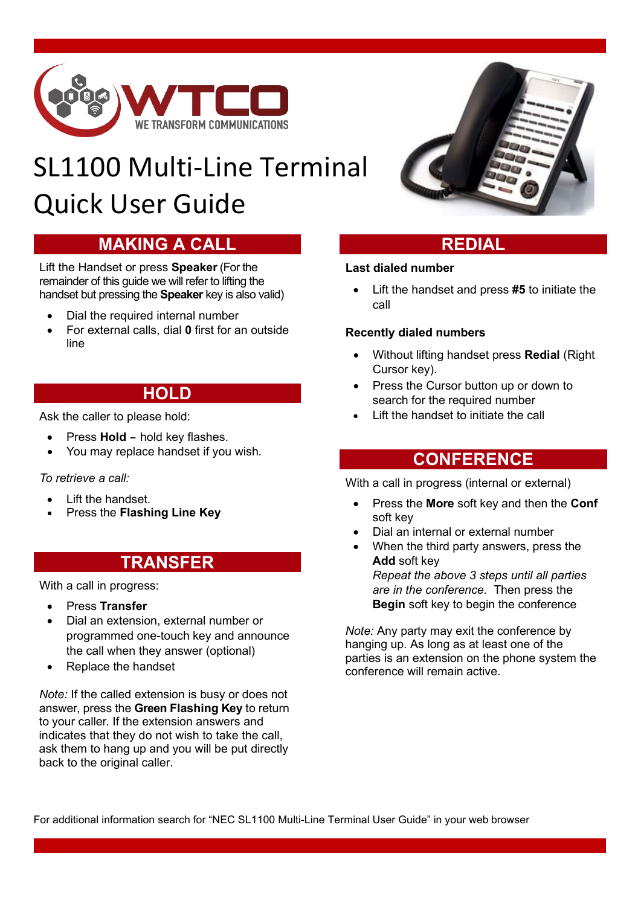

# SL1100 Multi-Line Terminal Quick User Guide

# **MAKING A CALL**

Lift the Handset or press **Speaker** (For the remainder of this guide we will refer to lifting the handset but pressing the **Speaker** key is also valid)

- Dial the required internal number
- For external calls, dial **0** first for an outside line

# **HOLD**

Ask the caller to please hold:

- Press **Hold** hold key flashes.<br>• You may replace handset if you
- You may replace handset if you wish.

### *To retrieve a call:*

- Lift the handset.
- Press the **Flashing Line Key**

# **TRANSFER**

With a call in progress:

- Press **Transfer**
- Dial an extension, external number or programmed one-touch key and announce the call when they answer (optional)
- Replace the handset

*Note:* If the called extension is busy or does not answer, press the **Green Flashing Key** to return to your caller. If the extension answers and indicates that they do not wish to take the call, ask them to hang up and you will be put directly back to the original caller.



# **REDIAL**

### **Last dialed number**

• Lift the handset and press **#5** to initiate the call

### **Recently dialed numbers**

- Without lifting handset press **Redial** (Right Cursor key).
- Press the Cursor button up or down to search for the required number
- Lift the handset to initiate the call

# **CONFERENCE**

With a call in progress (internal or external)

- Press the **More** soft key and then the **Conf** soft key
- Dial an internal or external number
- When the third party answers, press the **Add** soft key *Repeat the above 3 steps until all parties are in the conference.* Then press the **Begin** soft key to begin the conference

*Note:* Any party may exit the conference by hanging up. As long as at least one of the parties is an extension on the phone system the conference will remain active.

For additional information search for "NEC SL1100 Multi-Line Terminal User Guide" in your web browser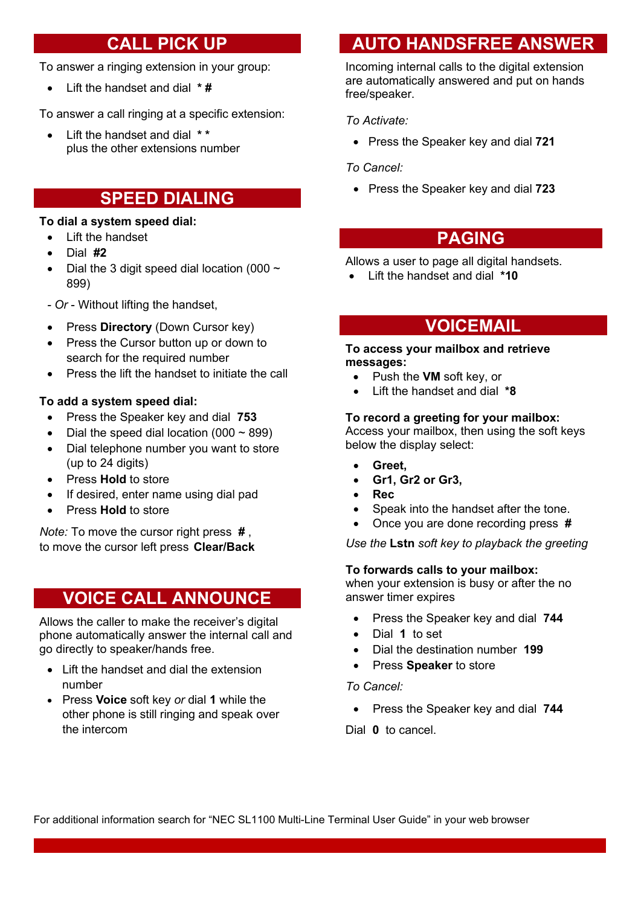# **CALL PICK UP**

To answer a ringing extension in your group:

• Lift the handset and dial **\* #**

To answer a call ringing at a specific extension:

Lift the handset and dial  $**$ plus the other extensions number

# **SPEED DIALING**

### **To dial a system speed dial:**

- Lift the handset
- Dial **#2**
- Dial the 3 digit speed dial location (000  $\sim$ 899)
- *- Or* Without lifting the handset,
- Press **Directory** (Down Cursor key)
- Press the Cursor button up or down to search for the required number
- Press the lift the handset to initiate the call

### **To add a system speed dial:**

- Press the Speaker key and dial **753**
- Dial the speed dial location  $(000 \sim 899)$
- Dial telephone number you want to store (up to 24 digits)
- Press **Hold** to store
- If desired, enter name using dial pad
- Press **Hold** to store

*Note:* To move the cursor right press **#** , to move the cursor left press **Clear/Back**

# **VOICE CALL ANNOUNCE**

Allows the caller to make the receiver's digital phone automatically answer the internal call and go directly to speaker/hands free.

- Lift the handset and dial the extension number
- Press **Voice** soft key *or* dial **1** while the other phone is still ringing and speak over the intercom

# **AUTO HANDSFREE ANSWER**

Incoming internal calls to the digital extension are automatically answered and put on hands free/speaker.

### *To Activate:*

• Press the Speaker key and dial **721**

### *To Cancel:*

• Press the Speaker key and dial **723**

# **PAGING**

Allows a user to page all digital handsets.

• Lift the handset and dial **\*10**

# **VOICEMAIL**

### **To access your mailbox and retrieve messages:**

- Push the **VM** soft key, or
- Lift the handset and dial **\*8**

### **To record a greeting for your mailbox:**

Access your mailbox, then using the soft keys below the display select:

- **Greet,**
- **Gr1, Gr2 or Gr3,**
- **Rec**
- Speak into the handset after the tone.
- Once you are done recording press **#**

*Use the* **Lstn** *soft key to playback the greeting*

### **To forwards calls to your mailbox:**

when your extension is busy or after the no answer timer expires

- Press the Speaker key and dial **744**
- Dial **1** to set
- Dial the destination number **199**
- Press **Speaker** to store

### *To Cancel:*

• Press the Speaker key and dial **744**

Dial **0** to cancel.

For additional information search for "NEC SL1100 Multi-Line Terminal User Guide" in your web browser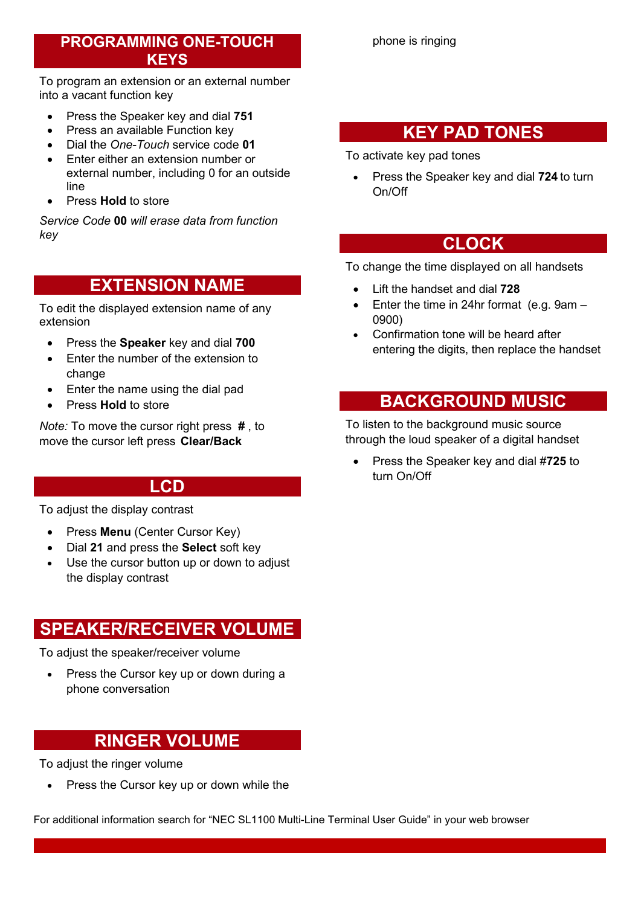# **PROGRAMMING ONE-TOUCH KEYS**

To program an extension or an external number into a vacant function key

- Press the Speaker key and dial **751**
- Press an available Function key
- Dial the *One-Touch* service code **01**
- Enter either an extension number or external number, including 0 for an outside line
- Press **Hold** to store

*Service Code* **00** *will erase data from function key*

# **EXTENSION NAME**

To edit the displayed extension name of any extension

- Press the **Speaker** key and dial **700**
- Enter the number of the extension to change
- Enter the name using the dial pad
- Press **Hold** to store

*Note:* To move the cursor right press **#** , to move the cursor left press **Clear/Back**

# **LCD**

To adjust the display contrast

- Press **Menu** (Center Cursor Key)
- Dial **21** and press the **Select** soft key
- Use the cursor button up or down to adjust the display contrast

# **SPEAKER/RECEIVER VOLUME**

To adjust the speaker/receiver volume

• Press the Cursor key up or down during a phone conversation

# **RINGER VOLUME**

To adjust the ringer volume

• Press the Cursor key up or down while the

For additional information search for "NEC SL1100 Multi-Line Terminal User Guide" in your web browser

# **KEY PAD TONES**

To activate key pad tones

• Press the Speaker key and dial **724** to turn On/Off

# **CLOCK**

To change the time displayed on all handsets

- Lift the handset and dial **728**
- Enter the time in 24hr format (e.g. 9am 0900)
- Confirmation tone will be heard after entering the digits, then replace the handset

# **BACKGROUND MUSIC**

To listen to the background music source through the loud speaker of a digital handset

• Press the Speaker key and dial #**725** to turn On/Off